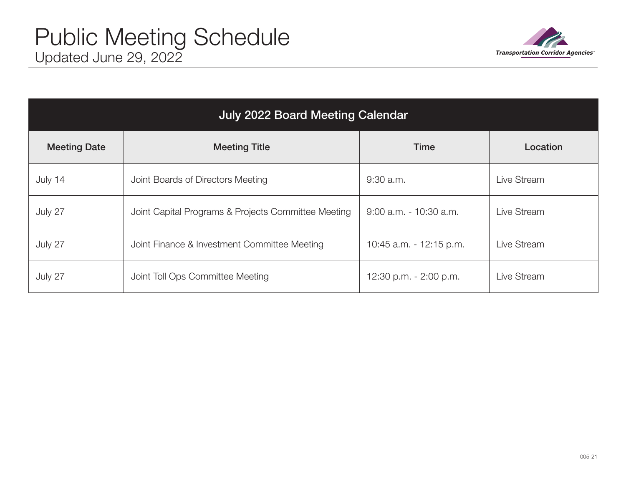

| <b>July 2022 Board Meeting Calendar</b> |                                                     |                         |             |  |  |
|-----------------------------------------|-----------------------------------------------------|-------------------------|-------------|--|--|
| <b>Meeting Date</b>                     | <b>Meeting Title</b>                                | Time                    | Location    |  |  |
| July 14                                 | Joint Boards of Directors Meeting                   | $9:30$ a.m.             | Live Stream |  |  |
| July 27                                 | Joint Capital Programs & Projects Committee Meeting | 9:00 a.m. - 10:30 a.m.  | Live Stream |  |  |
| July 27                                 | Joint Finance & Investment Committee Meeting        | 10:45 a.m. - 12:15 p.m. | Live Stream |  |  |
| July 27                                 | Joint Toll Ops Committee Meeting                    | 12:30 p.m. - 2:00 p.m.  | Live Stream |  |  |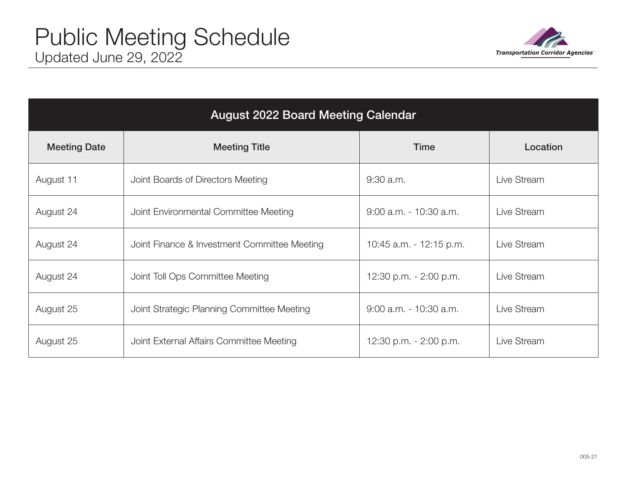

| <b>August 2022 Board Meeting Calendar</b> |                                              |                           |             |  |  |
|-------------------------------------------|----------------------------------------------|---------------------------|-------------|--|--|
| <b>Meeting Date</b>                       | <b>Meeting Title</b>                         | <b>Time</b>               | Location    |  |  |
| August 11                                 | Joint Boards of Directors Meeting            | $9:30$ a.m.               | Live Stream |  |  |
| August 24                                 | Joint Environmental Committee Meeting        | $9:00$ a.m. $-10:30$ a.m. | Live Stream |  |  |
| August 24                                 | Joint Finance & Investment Committee Meeting | 10:45 a.m. - 12:15 p.m.   | Live Stream |  |  |
| August 24                                 | Joint Toll Ops Committee Meeting             | 12:30 p.m. - 2:00 p.m.    | Live Stream |  |  |
| August 25                                 | Joint Strategic Planning Committee Meeting   | 9:00 a.m. - 10:30 a.m.    | Live Stream |  |  |
| August 25                                 | Joint External Affairs Committee Meeting     | 12:30 p.m. - 2:00 p.m.    | Live Stream |  |  |